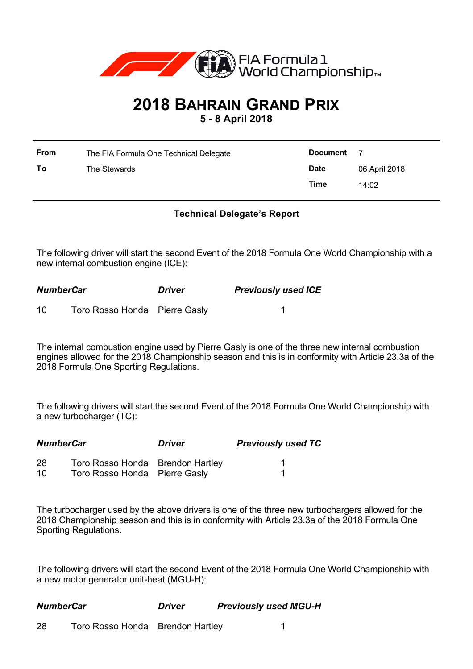

## **2018 BAHRAIN GRAND PRIX**

**5 - 8 April 2018**

| From | The FIA Formula One Technical Delegate | <b>Document</b> | - 7           |
|------|----------------------------------------|-----------------|---------------|
| To   | The Stewards                           | <b>Date</b>     | 06 April 2018 |
|      |                                        | Time            | 14:02         |

## **Technical Delegate's Report**

The following driver will start the second Event of the 2018 Formula One World Championship with a new internal combustion engine (ICE):

| <b>NumberCar</b> |                               | <b>Driver</b> | <b>Previously used ICE</b> |  |
|------------------|-------------------------------|---------------|----------------------------|--|
| 10               | Toro Rosso Honda Pierre Gasly |               |                            |  |

The internal combustion engine used by Pierre Gasly is one of the three new internal combustion engines allowed for the 2018 Championship season and this is in conformity with Article 23.3a of the 2018 Formula One Sporting Regulations.

The following drivers will start the second Event of the 2018 Formula One World Championship with a new turbocharger (TC):

| <b>NumberCar</b> |                                  | <b>Driver</b> | <b>Previously used TC</b> |  |
|------------------|----------------------------------|---------------|---------------------------|--|
| 28               | Toro Rosso Honda Brendon Hartley |               |                           |  |
| 10               | Toro Rosso Honda Pierre Gasly    |               |                           |  |

The turbocharger used by the above drivers is one of the three new turbochargers allowed for the 2018 Championship season and this is in conformity with Article 23.3a of the 2018 Formula One Sporting Regulations.

The following drivers will start the second Event of the 2018 Formula One World Championship with a new motor generator unit-heat (MGU-H):

*NumberCar Driver Previously used MGU-H*

28 Toro Rosso Honda Brendon Hartley 1